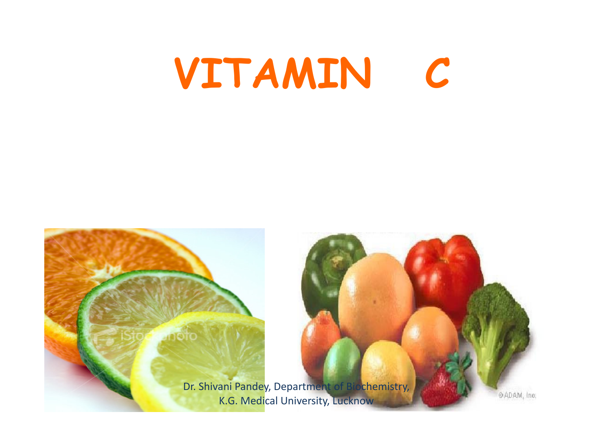# VITAMIN C

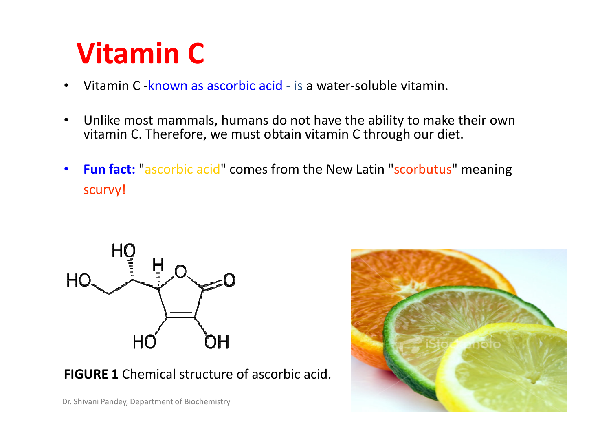## Vitamin C

- Vitamin C -known as ascorbic acid is a water-soluble vitamin. •
- $\bullet$  Unlike most mammals, humans do not have the ability to make their own vitamin C. Therefore, we must obtain vitamin C through our diet.
- • Fun fact: "ascorbic acid" comes from the New Latin "scorbutus" meaning scurvy!



**FIGURE 1** Chemical structure of ascorbic acid.



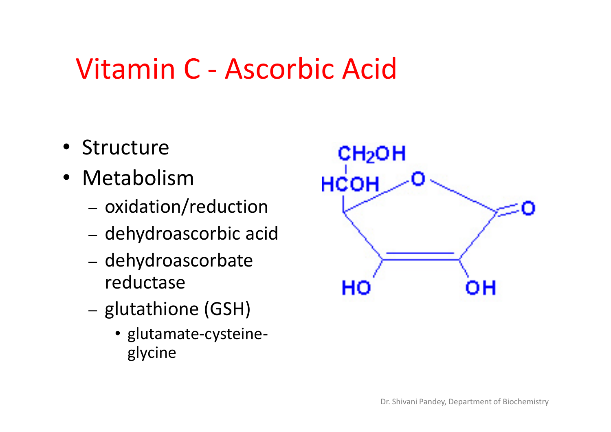## Vitamin C - Ascorbic Acid

- Structure
- Metabolism
	- OYINƏTIOL - oxidation/reduction
	- dehydroascorbic acid
	- dehydroascorbatereductase
	- glutathione (GSH)
		- glutamate-cysteineglycine

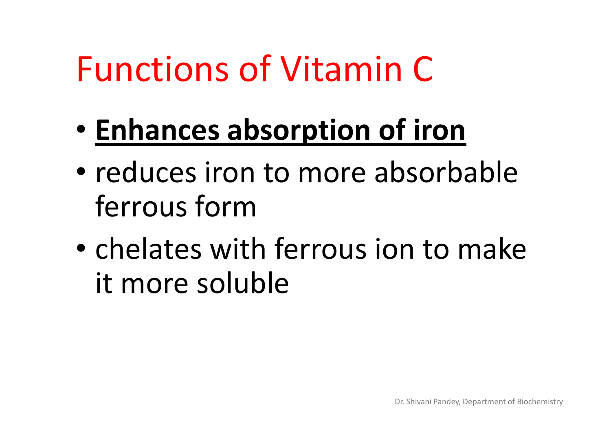- $\bullet$ **• Enhances absorption of iron**
- $\bullet$ • reduces iron to more absorbable ferrous form
- chalatac w chelates with ferrous ion to make it more soluble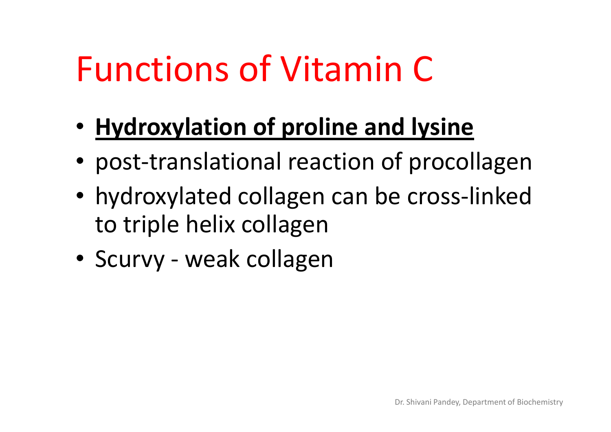- Hydroxylation of proline and lysine
- post-translational reaction of procollagen
- hydroxylated collagen can be cross-linked to triple helix collagen
- Scurvy weak collagen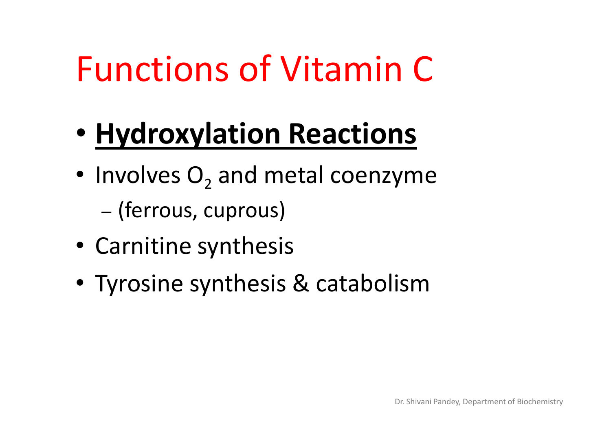- $\bullet$ **• Hydroxylation Reactions**
- Involves  $O_2$  $_2$  and metal coenzyme –(ferrous, cuprous)
- Carnitine synthesis
- Tyrosine synthesis & catabolism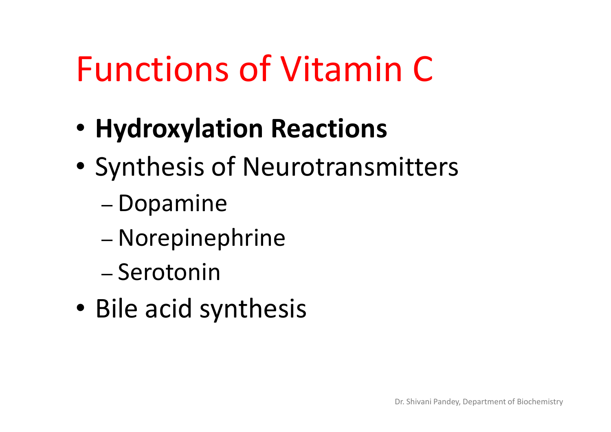- $\bullet$ Hydroxylation Reactions
- $\bullet$  Synthesis of Neurotransmitters
	- –– Dopamine
	- –Norepinephrine
	- –– Serotonin
- •• Bile acid synthesis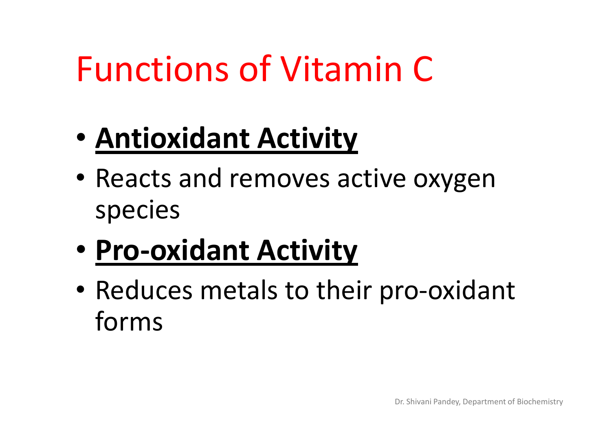- $\bullet$ • <u>Antioxidant Activity</u>
- •• Reacts and removes active oxygen species
- $\bullet$ • Pro-oxidant Activity
- •• Reduces metals to their pro-oxidant forms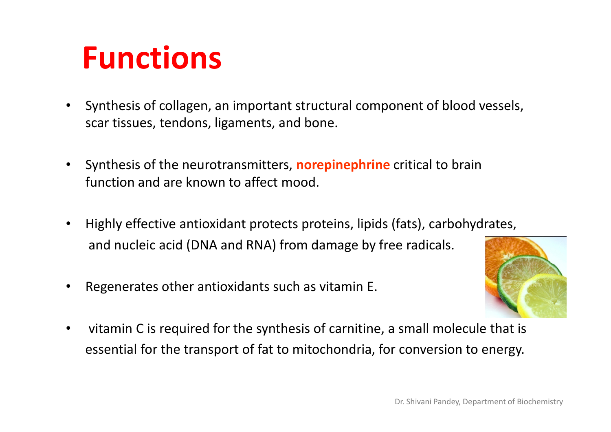## Functions

- • Synthesis of collagen, an important structural component of blood vessels, scar tissues, tendons, ligaments, and bone.
- •• Synthesis of the neurotransmitters, **norepinephrine** critical to brain function and are known to affect mood.
- • Highly effective antioxidant protects proteins, lipids (fats), carbohydrates, and nucleic acid (DNA and RNA) from damage by free radicals.
- •Regenerates other antioxidants such as vitamin E.



 $\bullet$  vitamin C is required for the synthesis of carnitine, a small molecule that isessential for the transport of fat to mitochondria, for conversion to energy.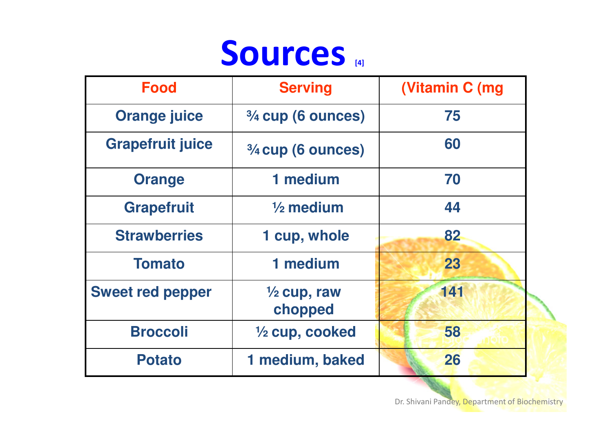

| <b>Food</b>             | <b>Serving</b>                    | (Vitamin C (mg) |
|-------------------------|-----------------------------------|-----------------|
| <b>Orange juice</b>     | $3/4$ cup (6 ounces)              | 75              |
| <b>Grapefruit juice</b> | 3/4 cup (6 ounces)                | 60              |
| <b>Orange</b>           | 1 medium                          | 70              |
| <b>Grapefruit</b>       | $\frac{1}{2}$ medium              | 44              |
| <b>Strawberries</b>     | 1 cup, whole                      | 82              |
| <b>Tomato</b>           | 1 medium                          | 23              |
| <b>Sweet red pepper</b> | $\frac{1}{2}$ cup, raw<br>chopped | 141             |
| <b>Broccoli</b>         | 1/2 cup, cooked                   | 58              |
| <b>Potato</b>           | 1 medium, baked                   | 26              |

Dr. Shivani Pandey, Department of Biochemistry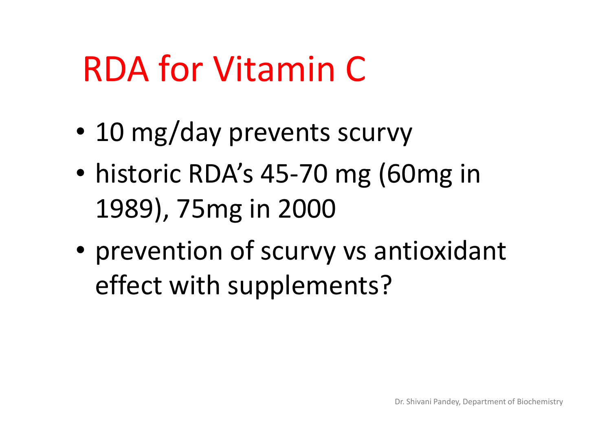# RDA for Vitamin C

- $\bullet$ 10 mg/day prevents scurvy
- • historic RDA's 45-70 mg (60mg in 1989), 75mg in 2000
- • prevention of scurvy vs antioxidant effect with supplements?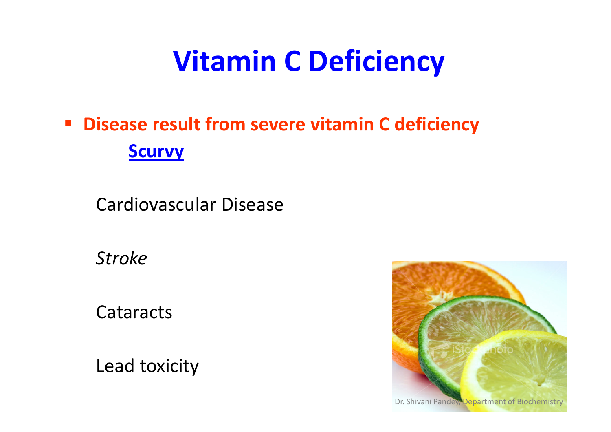## Vitamin C Deficiency

#### **• Disease result from severe vitamin C deficiency Scurvy**

Cardiovascular Disease

Stroke

**Cataracts** 

Lead toxicity

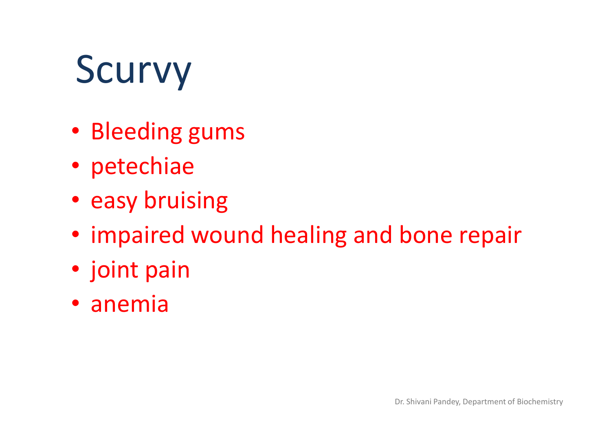# Scurvy

- Bleeding gums
- petechiae
- easy bruising
- impaired wound healing and bone repair
- joint pain
- anemia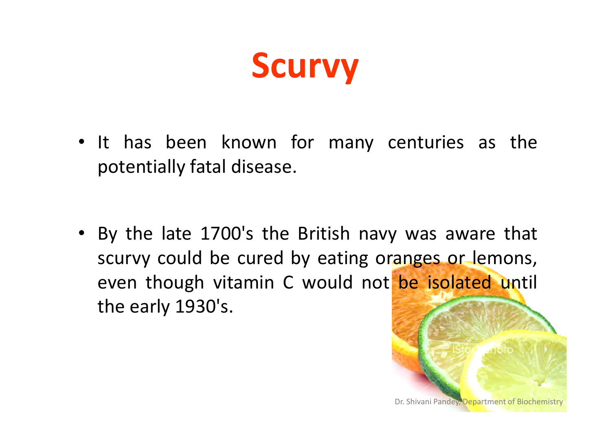

• It has been known for many centuries as the potentially fatal disease.

• By the late 1700's the British navy was aware that scurvy could be cured by eating oranges or lemons, even though vitamin <sup>C</sup> would not be isolated until the early 1930's.

Dr. Shivani Pandey, Department of Biochemistr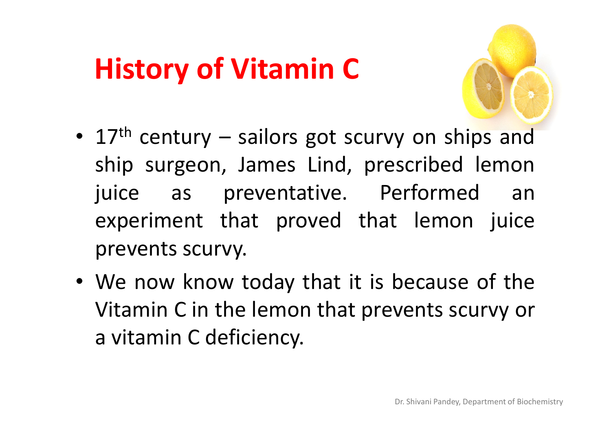## History of Vitamin C

- •• 17<sup>th</sup> century – sailors got scurvy on ships and ship surgeon, James Lind, prescribed lemonjuice as preventative. Performed an experiment that proved that lemon juice prevents scurvy.
- We now know today that it is because of the Vitamin <sup>C</sup> in the lemon that prevents scurvy or <sup>a</sup> vitamin <sup>C</sup> deficiency.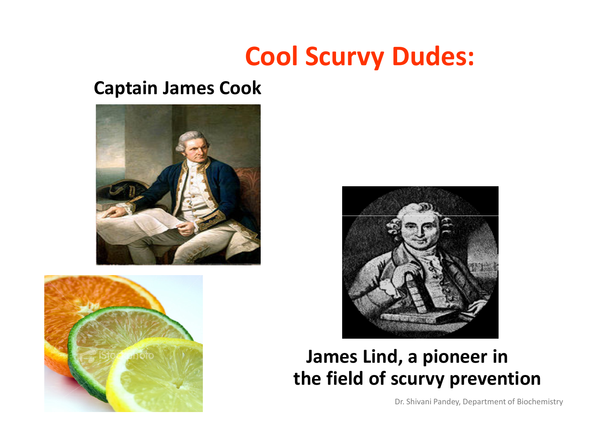### Cool Scurvy Dudes:

#### Captain James Cook







#### James Lind, a pioneer inthe field of scurvy prevention

Dr. Shivani Pandey, Department of Biochemistry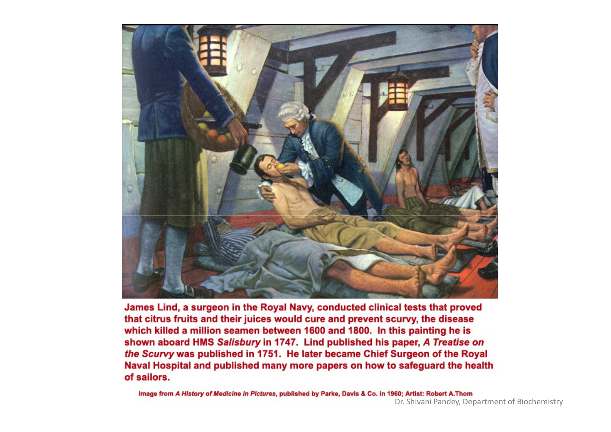

James Lind, a surgeon in the Royal Navy, conducted clinical tests that proved that citrus fruits and their juices would cure and prevent scurvy, the disease which killed a million seamen between 1600 and 1800. In this painting he is shown aboard HMS Salisbury in 1747. Lind published his paper, A Treatise on the Scurvy was published in 1751. He later became Chief Surgeon of the Royal Naval Hospital and published many more papers on how to safeguard the health of sailors.

Image from A History of Medicine in Pictures, published by Parke, Davis & Co. in 1960; Artist: Robert A.Thom Dr. Shivani Pandey, Department of Biochemistry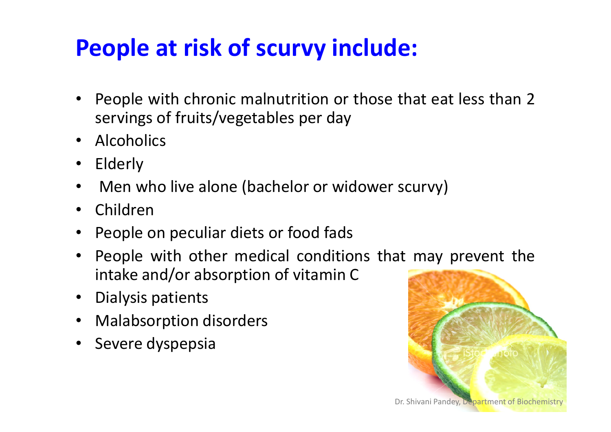### People at risk of scurvy include:

- $\bullet$ • People with chronic malnutrition or those that eat less than 2 servings of fruits/vegetables per day
- Alcoholics
- $\bullet$ Elderly
- •Men who live alone (bachelor or widower scurvy)
- •Children
- $\bullet$ People on peculiar diets or food fads
- People with other medical conditions that may prevent the intake and/or absorption of vitamin <sup>C</sup>
- Dialysis patients
- $\bullet$ Malabsorption disorders
- $\bullet$ Severe dyspepsia

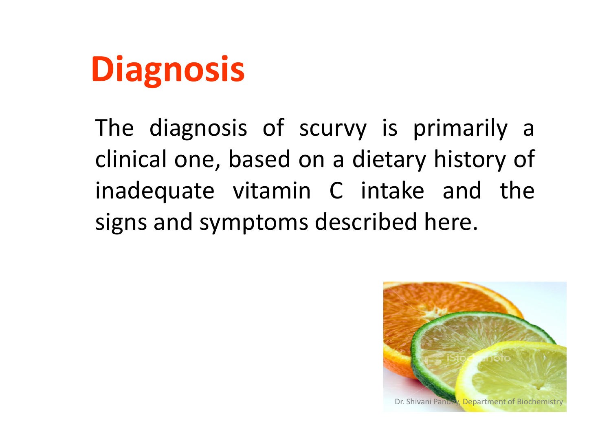

The diagnosis of scurvy is primarily <sup>a</sup> clinical one, based on <sup>a</sup> dietary history of inadequate vitamin <sup>C</sup> intake and the signs and symptoms described here.

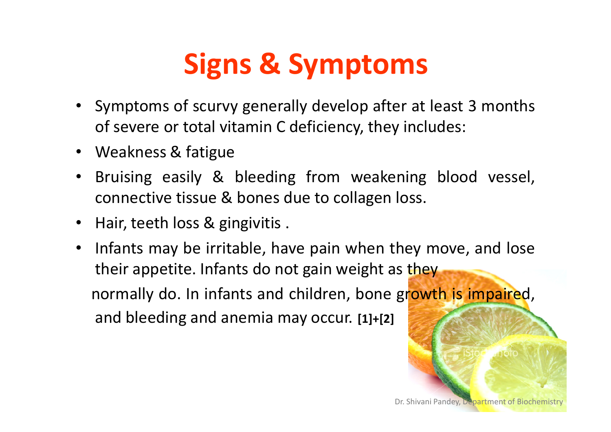# Signs & Symptoms

- Symptoms of scurvy generally develop after at least <sup>3</sup> months of severe or total vitamin <sup>C</sup> deficiency, they includes:
- Weakness & fatigue
- Bruising easily & bleeding from weakening blood vessel, connective tissue & bones due to collagen loss.
- Hair, teeth loss & gingivitis .
- • Infants may be irritable, have pain when they move, and lose their appetite. Infants do not gain weight as they normally do. In infants and children, bone growth is impaired, and bleeding and anemia may occur. [1]+[2]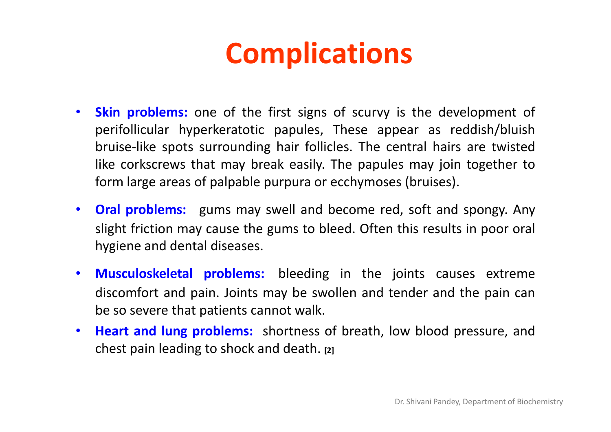## **Complications**

- •**Skin problems:** one of the first signs of scurvy is the development of perifollicular hyperkeratotic papules, These appear as reddish/bluish bruise-like spots surrounding hair follicles. The central hairs are twisted like corkscrews that may break easily. The papules may join together toform large areas of palpable purpura or ecchymoses (bruises).
- $\bullet$ • Oral problems: gums may swell and become red, soft and spongy. Any slight friction may cause the gums to bleed. Often this results in poor oral hygiene and dental diseases.
- Musculoskeletal problems: bleeding in the joints causes extreme discomfort and pain. Joints may be swollen and tender and the pain canbe so severe that patients cannot walk.
- Heart and lung problems: shortness of breath, low blood pressure, and chest pain leading to shock and death. [2]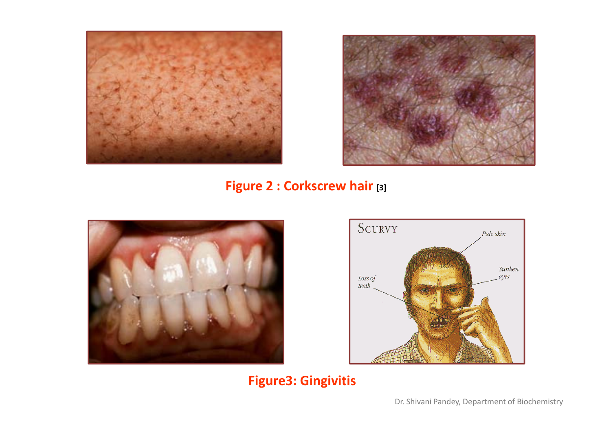



#### Figure 2 : Corkscrew hair [3]





#### Figure3: Gingivitis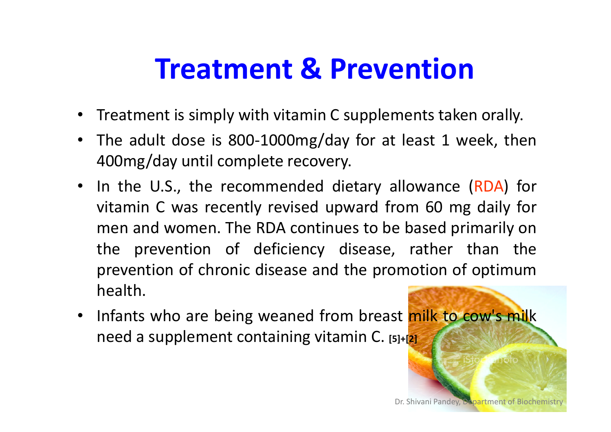## Treatment & Prevention

- •Treatment is simply with vitamin <sup>C</sup> supplements taken orally.
- The adult dose is 800-1000mg/day for at least <sup>1</sup> week, then400mg/day until complete recovery.
- In the U.S., the recommended dietary allowance (RDA) for vitamin C was recently revised upward from 60 mg daily for<br>man and warsen. The PDA continues to be besed mirrorily an men and women. The RDA continues to be based primarily on the prevention of deficiency disease, rather than the prevention of chronic disease and the promotion of optimumhealth.
- Infants who are being weaned from breast milk to cow's milk need <sup>a</sup> supplement containing vitamin C. [5]+[2]

Dr. Shivani Pandey, Department of Biochemistr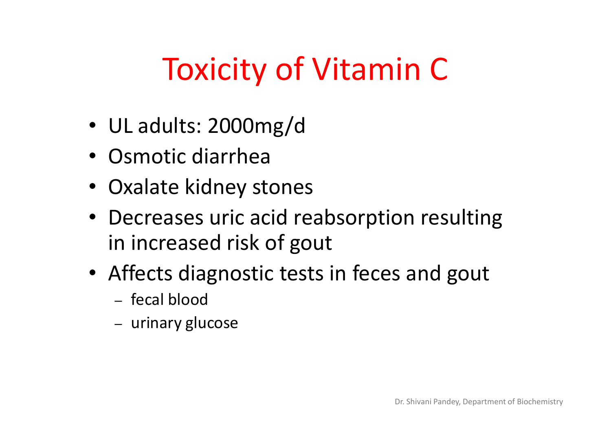# Toxicity of Vitamin C

- UL adults: 2000mg/d
- Osmotic diarrhea
- Oxalate kidney stones
- Decreases uric acid reabsorption resulting in increased risk of gout
- Affects diagnostic tests in feces and gout
	- $-$  fecal blood
	- urinary glucose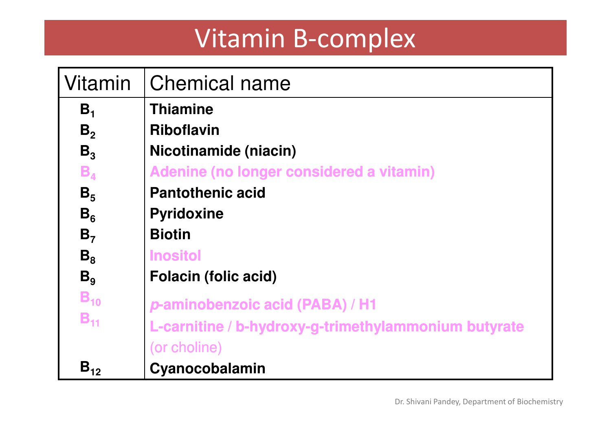### Vitamin B-complex

| Vitamin        | <b>Chemical name</b>                                 |
|----------------|------------------------------------------------------|
| B <sub>1</sub> | <b>Thiamine</b>                                      |
| B <sub>2</sub> | <b>Riboflavin</b>                                    |
| $B_3$          | Nicotinamide (niacin)                                |
| $B_{4}$        | Adenine (no longer considered a vitamin)             |
| B <sub>5</sub> | <b>Pantothenic acid</b>                              |
| $B_6$          | <b>Pyridoxine</b>                                    |
| B <sub>7</sub> | <b>Biotin</b>                                        |
| $B_8$          | <b>Inositol</b>                                      |
| B <sub>9</sub> | <b>Folacin (folic acid)</b>                          |
| $B_{10}$       | p-aminobenzoic acid (PABA) / H1                      |
| $B_{11}$       | L-carnitine / b-hydroxy-g-trimethylammonium butyrate |
|                | (or choline)                                         |
| $B_{12}$       | Cyanocobalamin                                       |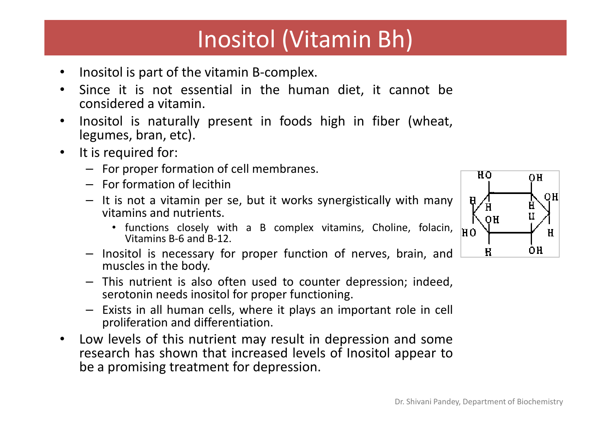#### Inositol (Vitamin Bh)

- •Inositol is part of the vitamin B-complex.
- • Since it is not essential in the human diet, it cannot be considered <sup>a</sup> vitamin.
- • Inositol is naturally present in foods high in fiber (wheat, legumes, bran, etc).
- • It is required for:
	- For proper formation of cell membranes.
	- For formation of lecithin
	- It is not <sup>a</sup> vitamin per se, but it works synergistically with many vitamins and nutrients.
		- functions closely with <sup>a</sup> <sup>B</sup> complex vitamins, Choline, folacin, Vitamins B-6 and B-12.
	- Inositol is necessary for proper function of nerves, brain, and muscles in the body.
	- This nutrient is also often used to counter depression; indeed, serotonin needs inositol for proper functioning.
	- Exists in all human cells, where it plays an important role in cell proliferation and differentiation.
- $\bullet$  Low levels of this nutrient may result in depression and some research has shown that increased levels of Inositol appear tobe <sup>a</sup> promising treatment for depression.

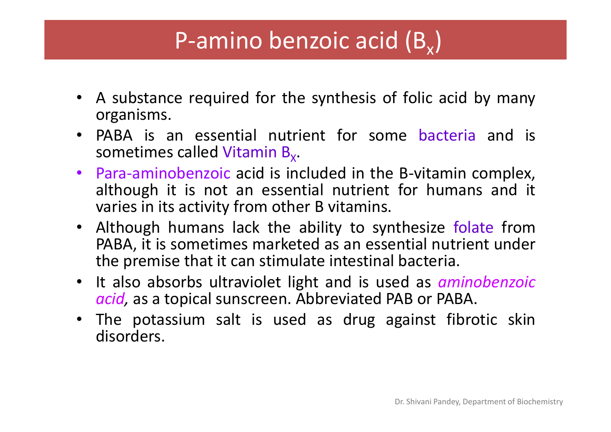#### P-amino benzoic acid (B $_{\mathrm{\mathsf{x}}})$

- <sup>A</sup> substance required for the synthesis of folic acid by many organisms.
- PABA is an essential nutrient for some bacteria and is sometimes called Vitamin B $_{\sf x}.$
- Para-aminobenzoic acid is included in the B-vitamin complex, •although it is not an essential nutrient for humans and it varies in its activity from other B vitamins.<br>Although humans, lack the ability to sw
- Although humans lack the ability to synthesize folate from PABA, it is sometimes marketed as an essential nutrient unde rthe premise that it can stimulate intestinal bacteria.
- It also absorbs ultraviolet light and is used as *aminobenzoic acid,* as a topical sunscreen. Abbreviated PAB or PABA.
- The potassium salt is used as drug against fibrotic skindisorders.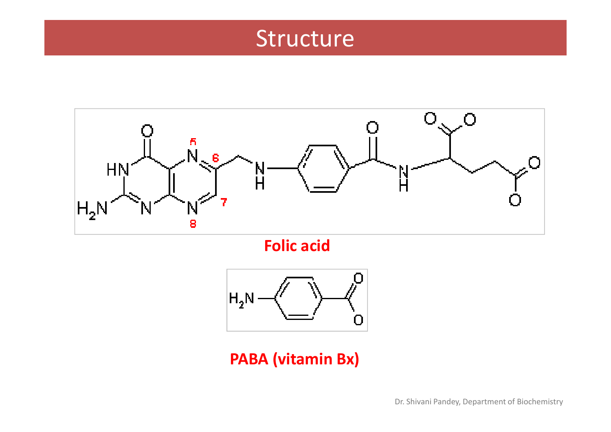#### Structure



Folic acid



PABA (vitamin Bx)

Dr. Shivani Pandey, Department of Biochemistry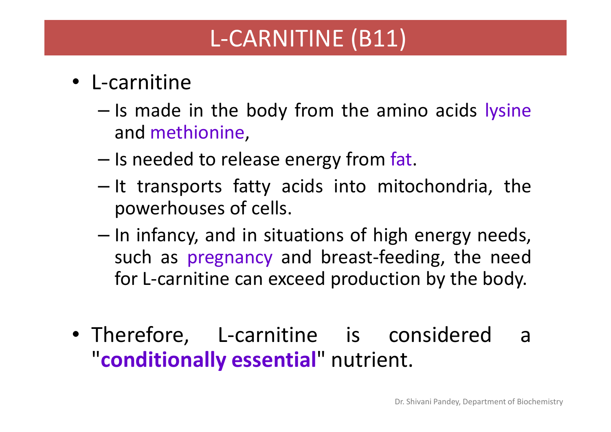#### L-CARNITINE (B11)

- L-carnitine
	- –- Is made in the body from the amino acids lysine and methionine,
	- –- Is needed to release energy from fat.
	- –- It transports fatty acids into mitochondria, the powerhouses of cells.
	- –- In infancy, and in situations of high energy needs, such as pregnancy and breast-feeding, the needfor L-carnitine can exceed production by the body.
- Therefore, L-carnitine is considered <sup>a</sup> "conditionally essential" nutrient.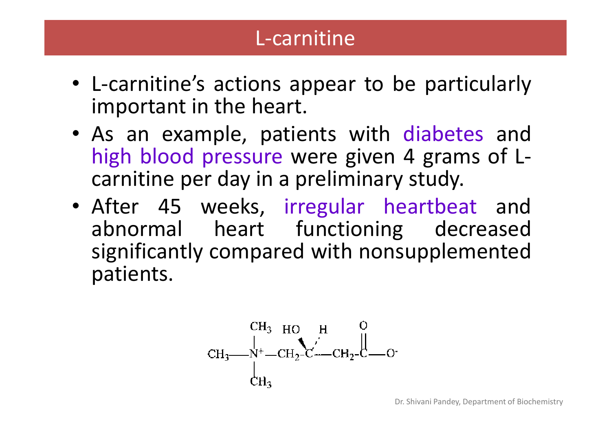#### L-carnitine

- L-carnitine's actions appear to be particularly important in the heart.
- As an example, patients with diabetes and high blood pressure were given <sup>4</sup> grams of Lcarnitine per day in <sup>a</sup> preliminary study.
- After <sup>45</sup> weeks, irregular heartbeat andabnormal heart functioning decreased significantly compared with nonsupplementedpatients.